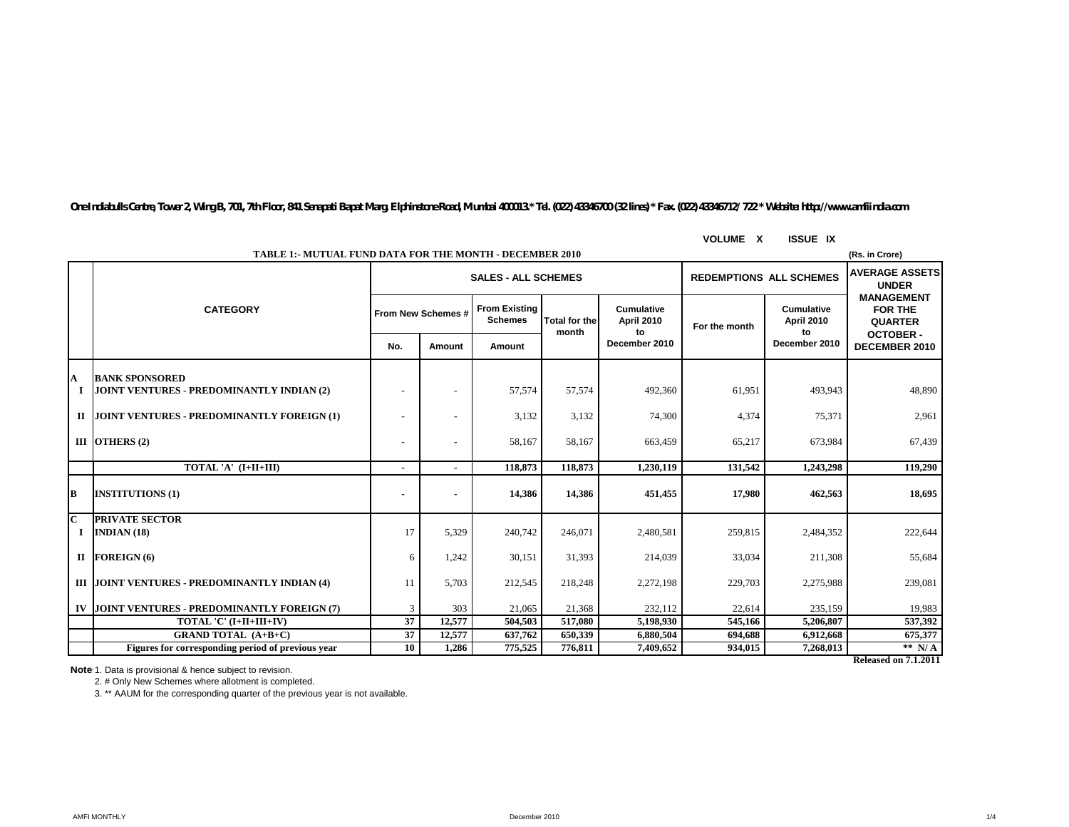*One Indiabulls Centre, Tower 2, Wing B, 701, 7th Floor, 841 Senapati Bapat Marg, Elphinstone Road, Mumbai 400013.\* Tel. (022) 43346700 (32 lines) \* Fax. (022) 43346712/ 722 \* Website: http://www.amfiindia.com*

**VOLUME X ISSUE IX**

|              | <b>TABLE 1:- MUTUAL FUND DATA FOR THE MONTH - DECEMBER 2010</b><br>(Rs. in Crore) |                                                              |        |                                        |                               |                                |               |                                 |                                                       |  |
|--------------|-----------------------------------------------------------------------------------|--------------------------------------------------------------|--------|----------------------------------------|-------------------------------|--------------------------------|---------------|---------------------------------|-------------------------------------------------------|--|
|              |                                                                                   | <b>REDEMPTIONS ALL SCHEMES</b><br><b>SALES - ALL SCHEMES</b> |        |                                        |                               |                                |               |                                 | <b>AVERAGE ASSETS</b><br><b>UNDER</b>                 |  |
|              | <b>CATEGORY</b>                                                                   | From New Schemes #                                           |        | <b>From Existing</b><br><b>Schemes</b> | <b>Total for the</b><br>month | Cumulative<br>April 2010<br>to | For the month | Cumulative<br><b>April 2010</b> | <b>MANAGEMENT</b><br><b>FOR THE</b><br><b>QUARTER</b> |  |
|              |                                                                                   | No.                                                          | Amount | Amount                                 |                               | December 2010                  |               | to<br>December 2010             | <b>OCTOBER-</b><br>DECEMBER 2010                      |  |
| A            | <b>BANK SPONSORED</b>                                                             |                                                              |        |                                        |                               |                                |               |                                 |                                                       |  |
|              | JOINT VENTURES - PREDOMINANTLY INDIAN (2)                                         | $\overline{\phantom{a}}$                                     |        | 57,574                                 | 57.574                        | 492,360                        | 61,951        | 493.943                         | 48,890                                                |  |
|              | II JOINT VENTURES - PREDOMINANTLY FOREIGN (1)                                     |                                                              |        | 3,132                                  | 3,132                         | 74,300                         | 4,374         | 75,371                          | 2,961                                                 |  |
|              | III $\overline{O}$ THERS $(2)$                                                    |                                                              |        | 58,167                                 | 58.167                        | 663,459                        | 65,217        | 673,984                         | 67,439                                                |  |
|              | TOTAL 'A' (I+II+III)                                                              |                                                              |        | 118,873                                | 118,873                       | 1.230.119                      | 131.542       | 1.243.298                       | 119.290                                               |  |
| B            | <b>INSTITUTIONS (1)</b>                                                           |                                                              |        | 14,386                                 | 14,386                        | 451,455                        | 17,980        | 462,563                         | 18,695                                                |  |
| $\mathbf{C}$ | <b>PRIVATE SECTOR</b>                                                             |                                                              |        |                                        |                               |                                |               |                                 |                                                       |  |
|              | INDIAN $(18)$                                                                     | 17                                                           | 5,329  | 240,742                                | 246,071                       | 2,480,581                      | 259,815       | 2,484,352                       | 222,644                                               |  |
|              | II FOREIGN (6)                                                                    | 6                                                            | 1.242  | 30,151                                 | 31,393                        | 214,039                        | 33,034        | 211,308                         | 55,684                                                |  |
|              | III JOINT VENTURES - PREDOMINANTLY INDIAN (4)                                     | 11                                                           | 5.703  | 212,545                                | 218,248                       | 2,272,198                      | 229,703       | 2,275,988                       | 239,081                                               |  |
|              | IV JOINT VENTURES - PREDOMINANTLY FOREIGN (7)                                     | 3                                                            | 303    | 21,065                                 | 21,368                        | 232,112                        | 22,614        | 235,159                         | 19,983                                                |  |
|              | TOTAL 'C' (I+II+III+IV)                                                           | 37                                                           | 12.577 | 504.503                                | 517,080                       | 5.198.930                      | 545,166       | 5,206,807                       | 537,392                                               |  |
|              | <b>GRAND TOTAL (A+B+C)</b>                                                        | $\overline{37}$                                              | 12,577 | 637,762                                | 650.339                       | 6,880,504                      | 694.688       | 6,912,668                       | 675,377                                               |  |
|              | Figures for corresponding period of previous year                                 | 10                                                           | 1,286  | 775,525                                | 776,811                       | 7,409,652                      | 934,015       | 7,268,013                       | ** $N/A$                                              |  |
|              | <b>Released on 7.1.2011</b>                                                       |                                                              |        |                                        |                               |                                |               |                                 |                                                       |  |

Note 1. Data is provisional & hence subject to revision.

2. # Only New Schemes where allotment is completed.

3. \*\* AAUM for the corresponding quarter of the previous year is not available.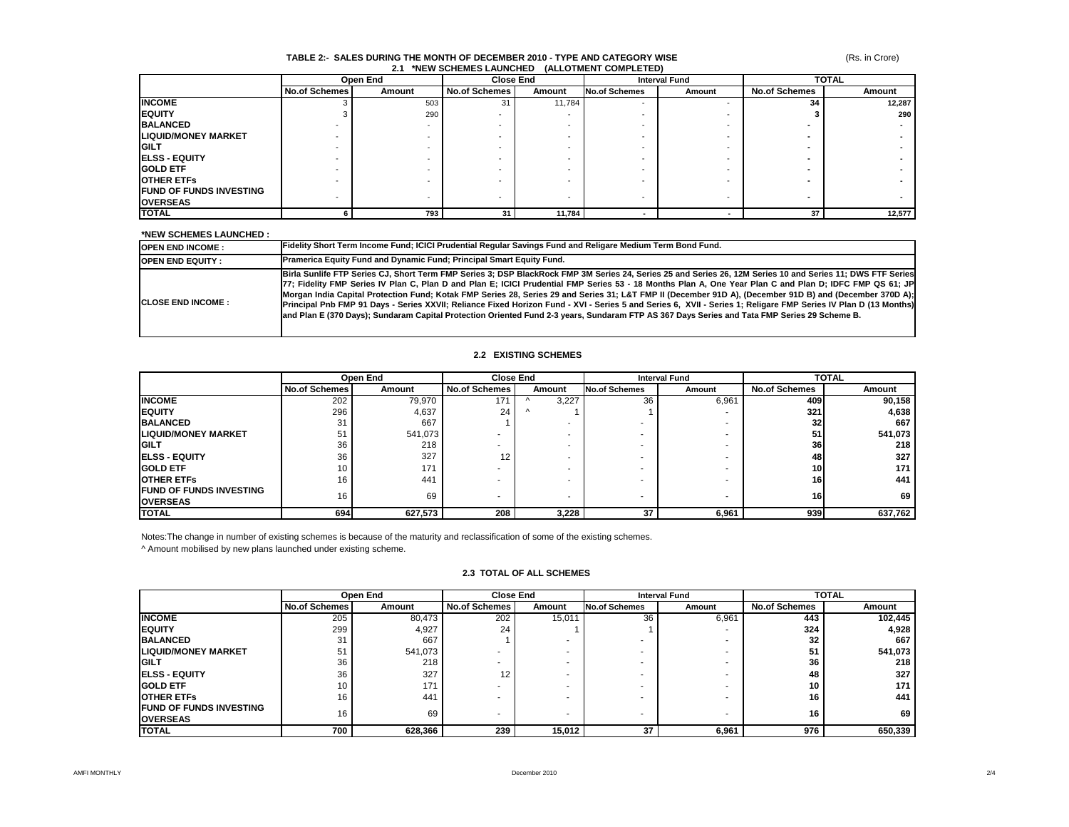### **TABLE 2:- SALES DURING THE MONTH OF DECEMBER 2010 - TYPE AND CATEGORY WISE 2.1 \*NEW SCHEMES LAUNCHED (ALLOTMENT COMPLETED)**

|                                | Open End             |        | <b>Close End</b>     |        | <b>Interval Fund</b>     |        | <b>TOTAL</b>         |        |
|--------------------------------|----------------------|--------|----------------------|--------|--------------------------|--------|----------------------|--------|
|                                | <b>No.of Schemes</b> | Amount | <b>No.of Schemes</b> | Amount | <b>No.of Schemes</b>     | Amount | <b>No.of Schemes</b> | Amount |
| <b>INCOME</b>                  |                      | 503    | 31                   | 11,784 | $\overline{\phantom{a}}$ |        | 34                   | 12,287 |
| <b>EQUITY</b>                  |                      | 290    |                      |        |                          |        |                      | 290    |
| <b>BALANCED</b>                |                      |        |                      |        |                          |        |                      |        |
| <b>LIQUID/MONEY MARKET</b>     |                      |        |                      |        |                          |        |                      |        |
| <b>IGILT</b>                   |                      |        |                      |        |                          |        |                      |        |
| <b>IELSS - EQUITY</b>          |                      |        |                      |        |                          |        |                      |        |
| <b>IGOLD ETF</b>               |                      |        |                      |        |                          |        |                      |        |
| <b>OTHER ETFS</b>              |                      |        |                      |        |                          |        |                      |        |
| <b>FUND OF FUNDS INVESTING</b> |                      |        |                      |        |                          |        |                      |        |
| <b>OVERSEAS</b>                |                      |        |                      |        |                          |        |                      |        |
| <b>TOTAL</b>                   |                      | 793    | 31                   | 11,784 |                          |        | 37                   | 12,577 |

### **\*NEW SCHEMES LAUNCHED :**

| <b>OPEN END INCOME:</b>    | Fidelity Short Term Income Fund; ICICI Prudential Regular Savings Fund and Religare Medium Term Bond Fund.                                                                                                                                                                                                                                                                                                                                                                                                                                                                                                                                                                                                                                                                                            |
|----------------------------|-------------------------------------------------------------------------------------------------------------------------------------------------------------------------------------------------------------------------------------------------------------------------------------------------------------------------------------------------------------------------------------------------------------------------------------------------------------------------------------------------------------------------------------------------------------------------------------------------------------------------------------------------------------------------------------------------------------------------------------------------------------------------------------------------------|
| <b>OPEN END EQUITY:</b>    | <b>Pramerica Equity Fund and Dynamic Fund: Principal Smart Equity Fund.</b>                                                                                                                                                                                                                                                                                                                                                                                                                                                                                                                                                                                                                                                                                                                           |
| <b>ICLOSE END INCOME :</b> | Birla Sunlife FTP Series CJ, Short Term FMP Series 3; DSP BlackRock FMP 3M Series 24, Series 25 and Series 26, 12M Series 10 and Series 11; DWS FTF Series<br>[77; Fidelity FMP Series IV Plan C, Plan D and Plan E; ICICI Prudential FMP Series 53 - 18 Months Plan A, One Year Plan C and Plan D; IDFC FMP QS 61; JP<br>Morgan India Capital Protection Fund; Kotak FMP Series 28, Series 29 and Series 31; L&T FMP II (December 91D A), (December 91D B) and (December 370D A);<br>Principal Pnb FMP 91 Days - Series XXVII; Reliance Fixed Horizon Fund - XVI - Series 5 and Series 6, XVII - Series 1; Religare FMP Series IV Plan D (13 Months)<br>and Plan E (370 Days); Sundaram Capital Protection Oriented Fund 2-3 years, Sundaram FTP AS 367 Days Series and Tata FMP Series 29 Scheme B. |

### **2.2 EXISTING SCHEMES**

|                                                    | Open End             |         | <b>Close End</b>     |                          | <b>Interval Fund</b> |        | <b>TOTAL</b>         |         |
|----------------------------------------------------|----------------------|---------|----------------------|--------------------------|----------------------|--------|----------------------|---------|
|                                                    | <b>No.of Schemes</b> | Amount  | <b>No.of Schemes</b> | Amount                   | <b>No.of Schemes</b> | Amount | <b>No.of Schemes</b> | Amount  |
| <b>INCOME</b>                                      | 202                  | 79,970  | 171                  | 3,227                    | 36                   | 6,961  | 409 l                | 90,158  |
| <b>IEQUITY</b>                                     | 296                  | 4,637   | 24                   |                          |                      |        | 321                  | 4,638   |
| <b>BALANCED</b>                                    | 31                   | 667     |                      |                          |                      |        | 32 <sub>l</sub>      | 667     |
| <b>ILIQUID/MONEY MARKET</b>                        | 51                   | 541,073 |                      |                          |                      |        | 51                   | 541,073 |
| <b>IGILT</b>                                       | 36                   | 218     |                      |                          |                      |        | 36                   | 218     |
| <b>IELSS - EQUITY</b>                              | 36                   | 327     | 12                   |                          |                      |        | 48                   | 327     |
| <b>IGOLD ETF</b>                                   | 10                   | 171     |                      |                          |                      |        | 10I                  | 171     |
| <b>OTHER ETFS</b>                                  | 16                   | 441     |                      |                          |                      |        | 16 I                 | 441     |
| <b>IFUND OF FUNDS INVESTING</b><br><b>OVERSEAS</b> | 16                   | 69      | ٠                    | $\overline{\phantom{0}}$ |                      |        | 16                   | 69      |
| <b>TOTAL</b>                                       | 694                  | 627,573 | 208                  | 3,228                    | 37                   | 6,961  | 939                  | 637,762 |

Notes:The change in number of existing schemes is because of the maturity and reclassification of some of the existing schemes.

^ Amount mobilised by new plans launched under existing scheme.

## **2.3 TOTAL OF ALL SCHEMES**

|                                                   | Open End             |         | <b>Close End</b>     |        | <b>Interval Fund</b> |        | <b>TOTAL</b>         |                  |
|---------------------------------------------------|----------------------|---------|----------------------|--------|----------------------|--------|----------------------|------------------|
|                                                   | <b>No.of Schemes</b> | Amount  | <b>No.of Schemes</b> | Amount | <b>No.of Schemes</b> | Amount | <b>No.of Schemes</b> | Amount           |
| <b>INCOME</b>                                     | 205                  | 80,473  | 202                  | 15,011 | 36                   | 6,961  | 443                  | 102,445          |
| <b>IEQUITY</b>                                    | 299                  | 4,927   | 24                   |        |                      |        | 324                  | 4,928            |
| <b>BALANCED</b>                                   | 31                   | 667     |                      |        |                      |        | 32                   | 667              |
| <b>LIQUID/MONEY MARKET</b>                        | 51                   | 541,073 |                      |        |                      |        | 51                   | 541,073          |
| GILT                                              | 36                   | 218     |                      |        |                      |        | 36                   | 218 <sub>1</sub> |
| <b>IELSS - EQUITY</b>                             | 36                   | 327     | 12                   |        |                      |        | 48                   | 327              |
| <b>GOLD ETF</b>                                   | 10                   | 171     |                      |        |                      |        | 10                   | 171              |
| <b>OTHER ETFS</b>                                 | 16                   | 441     |                      |        |                      |        | 16                   | 441              |
| <b>FUND OF FUNDS INVESTING</b><br><b>OVERSEAS</b> | 16                   | 69      |                      |        |                      |        | 16                   | 69               |
| <b>TOTAL</b>                                      | 700                  | 628,366 | 239                  | 15,012 | 37                   | 6,961  | 976                  | 650,339          |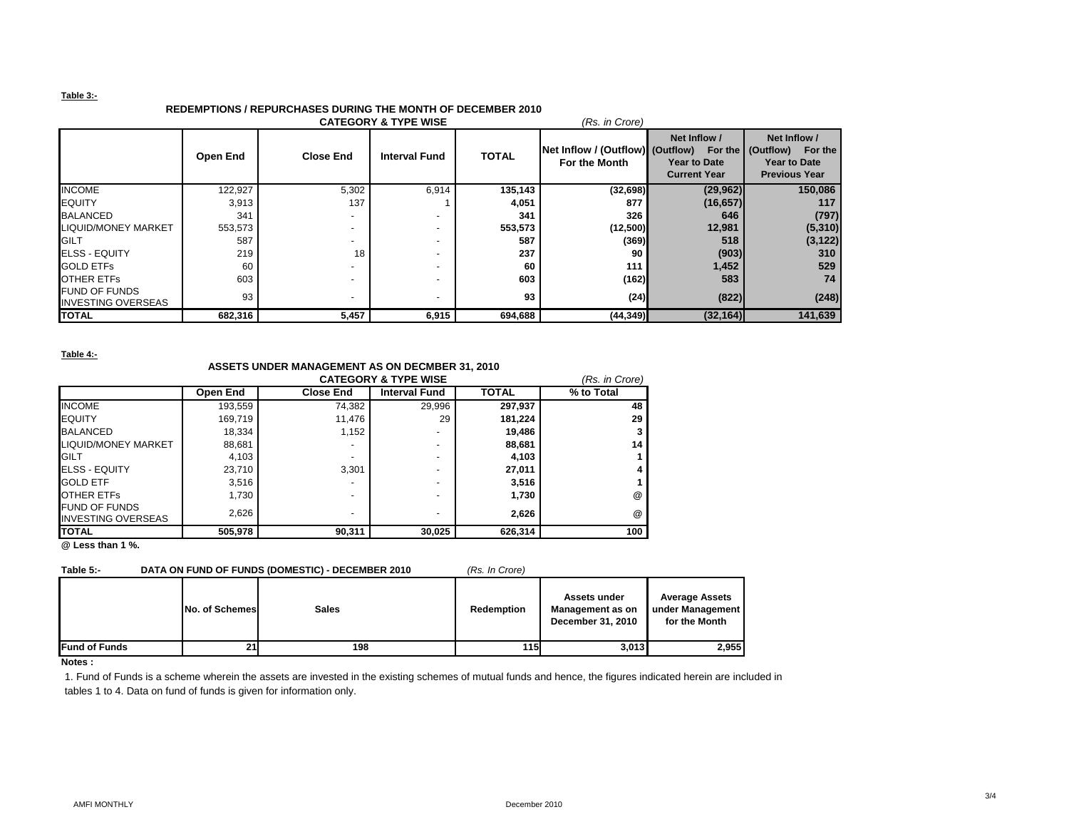### **Table 3:-**

# **REDEMPTIONS / REPURCHASES DURING THE MONTH OF DECEMBER 2010**

| <b>CATEGORY &amp; TYPE WISE</b><br>(Rs. in Crore) |          |                          |                          |              |                                                   |                                                                |                                                                           |  |
|---------------------------------------------------|----------|--------------------------|--------------------------|--------------|---------------------------------------------------|----------------------------------------------------------------|---------------------------------------------------------------------------|--|
|                                                   | Open End | <b>Close End</b>         | <b>Interval Fund</b>     | <b>TOTAL</b> | Net Inflow / (Outflow) (Outflow)<br>For the Month | Net Inflow /<br>For the<br>Year to Date<br><b>Current Year</b> | Net Inflow /<br>(Outflow) For the<br>Year to Date<br><b>Previous Year</b> |  |
| <b>INCOME</b>                                     | 122,927  | 5,302                    | 6,914                    | 135,143      | (32,698)                                          | (29, 962)                                                      | 150,086                                                                   |  |
| <b>EQUITY</b>                                     | 3,913    | 137                      |                          | 4,051        | 877                                               | (16, 657)                                                      | 117                                                                       |  |
| <b>BALANCED</b>                                   | 341      | $\sim$                   |                          | 341          | 326                                               | 646                                                            | (797)                                                                     |  |
| <b>LIQUID/MONEY MARKET</b>                        | 553,573  | $\overline{\phantom{a}}$ |                          | 553,573      | (12,500)                                          | 12,981                                                         | (5, 310)                                                                  |  |
| <b>GILT</b>                                       | 587      | $\overline{\phantom{0}}$ | $\overline{\phantom{0}}$ | 587          | (369)                                             | 518                                                            | (3, 122)                                                                  |  |
| <b>IELSS - EQUITY</b>                             | 219      | 18                       | $\overline{\phantom{a}}$ | 237          | 90                                                | (903)                                                          | 310                                                                       |  |
| <b>GOLD ETFS</b>                                  | 60       | $\overline{\phantom{0}}$ |                          | 60           | 111                                               | 1,452                                                          | 529                                                                       |  |
| <b>OTHER ETFS</b>                                 | 603      | $\overline{\phantom{0}}$ | $\overline{\phantom{a}}$ | 603          | (162)                                             | 583                                                            | 74                                                                        |  |
| <b>FUND OF FUNDS</b><br><b>INVESTING OVERSEAS</b> | 93       | ٠                        |                          | 93           | (24)                                              | (822)                                                          | (248)                                                                     |  |
| <b>TOTAL</b>                                      | 682,316  | 5,457                    | 6,915                    | 694,688      | (44, 349)                                         | (32, 164)                                                      | 141,639                                                                   |  |

#### **Table 4:-**

# **ASSETS UNDER MANAGEMENT AS ON DECMBER 31, 2010**

|                                                   |                 | (Rs. in Crore)   |                      |              |            |
|---------------------------------------------------|-----------------|------------------|----------------------|--------------|------------|
|                                                   | <b>Open End</b> | <b>Close End</b> | <b>Interval Fund</b> | <b>TOTAL</b> | % to Total |
| <b>INCOME</b>                                     | 193,559         | 74,382           | 29,996               | 297,937      | 48         |
| <b>EQUITY</b>                                     | 169,719         | 11,476           | 29                   | 181,224      | 29         |
| <b>BALANCED</b>                                   | 18.334          | 1.152            | -                    | 19,486       |            |
| LIQUID/MONEY MARKET                               | 88,681          |                  | -                    | 88,681       | 14         |
| <b>IGILT</b>                                      | 4,103           |                  | -                    | 4,103        |            |
| <b>ELSS - EQUITY</b>                              | 23.710          | 3.301            | -                    | 27,011       | 4          |
| <b>GOLD ETF</b>                                   | 3.516           |                  | -                    | 3,516        |            |
| <b>OTHER ETFS</b>                                 | 1.730           |                  | -                    | 1.730        | $^{\circ}$ |
| <b>FUND OF FUNDS</b><br><b>INVESTING OVERSEAS</b> | 2,626           | -                | -                    | 2,626        | $^{\circ}$ |
| <b>TOTAL</b>                                      | 505,978         | 90,311           | 30,025               | 626,314      | 100        |

**@ Less than 1 %.**

### **Table 5:- DATA ON FUND OF FUNDS (DOMESTIC) - DECEMBER 2010** *(Rs. In Crore)*

|                       | <b>No. of Schemes</b> | <b>Sales</b> | Redemption | Assets under<br>Management as on<br>December 31, 2010 | <b>Average Assets</b><br>under Management<br>for the Month |
|-----------------------|-----------------------|--------------|------------|-------------------------------------------------------|------------------------------------------------------------|
| <b>IFund of Funds</b> | 211                   | 198          | 115        | 3,013                                                 | 2,955                                                      |

**Notes :**

1. Fund of Funds is a scheme wherein the assets are invested in the existing schemes of mutual funds and hence, the figures indicated herein are included in tables 1 to 4. Data on fund of funds is given for information only.